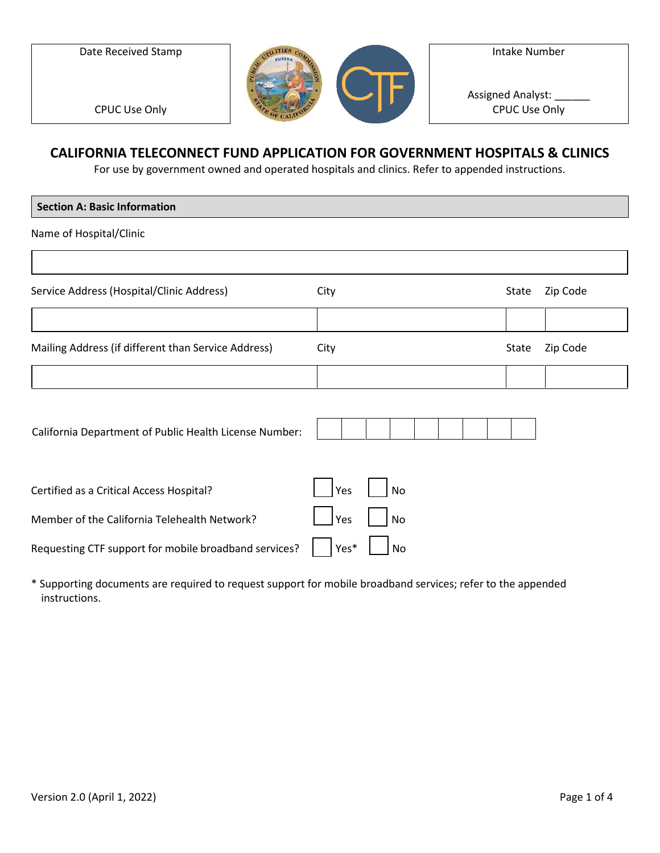Date Received Stamp



Intake Number

Assigned Analyst: CPUC Use Only

CPUC Use Only

## **CALIFORNIA TELECONNECT FUND APPLICATION FOR GOVERNMENT HOSPITALS & CLINICS**

For use by government owned and operated hospitals and clinics. Refer to appended instructions.

| <b>Section A: Basic Information</b>                    |            |    |  |  |       |          |
|--------------------------------------------------------|------------|----|--|--|-------|----------|
| Name of Hospital/Clinic                                |            |    |  |  |       |          |
|                                                        |            |    |  |  |       |          |
| Service Address (Hospital/Clinic Address)              | City       |    |  |  | State | Zip Code |
|                                                        |            |    |  |  |       |          |
| Mailing Address (if different than Service Address)    | City       |    |  |  | State | Zip Code |
|                                                        |            |    |  |  |       |          |
|                                                        |            |    |  |  |       |          |
| California Department of Public Health License Number: |            |    |  |  |       |          |
|                                                        |            |    |  |  |       |          |
| Certified as a Critical Access Hospital?               | Yes        | No |  |  |       |          |
| Member of the California Telehealth Network?           | <b>Yes</b> | No |  |  |       |          |
| Requesting CTF support for mobile broadband services?  | Yes*       | No |  |  |       |          |

\* Supporting documents are required to request support for mobile broadband services; refer to the appended instructions.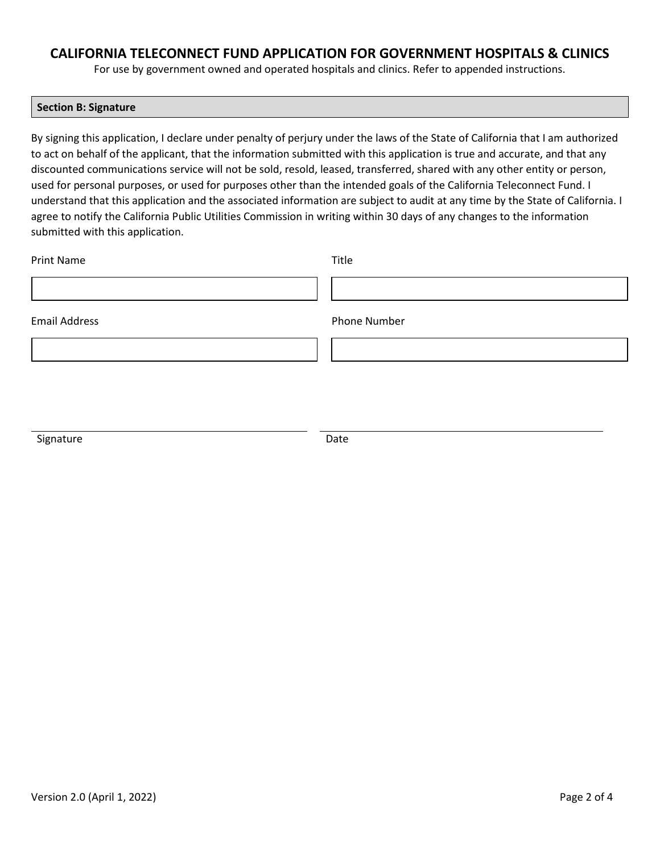### **CALIFORNIA TELECONNECT FUND APPLICATION FOR GOVERNMENT HOSPITALS & CLINICS**

For use by government owned and operated hospitals and clinics. Refer to appended instructions.

#### **Section B: Signature**

By signing this application, I declare under penalty of perjury under the laws of the State of California that I am authorized to act on behalf of the applicant, that the information submitted with this application is true and accurate, and that any discounted communications service will not be sold, resold, leased, transferred, shared with any other entity or person, used for personal purposes, or used for purposes other than the intended goals of the California Teleconnect Fund. I understand that this application and the associated information are subject to audit at any time by the State of California. I agree to notify the California Public Utilities Commission in writing within 30 days of any changes to the information submitted with this application.

| <b>Print Name</b>    | Title        |
|----------------------|--------------|
|                      |              |
| <b>Email Address</b> | Phone Number |
|                      |              |
|                      |              |
|                      |              |

Signature Date Date Date Date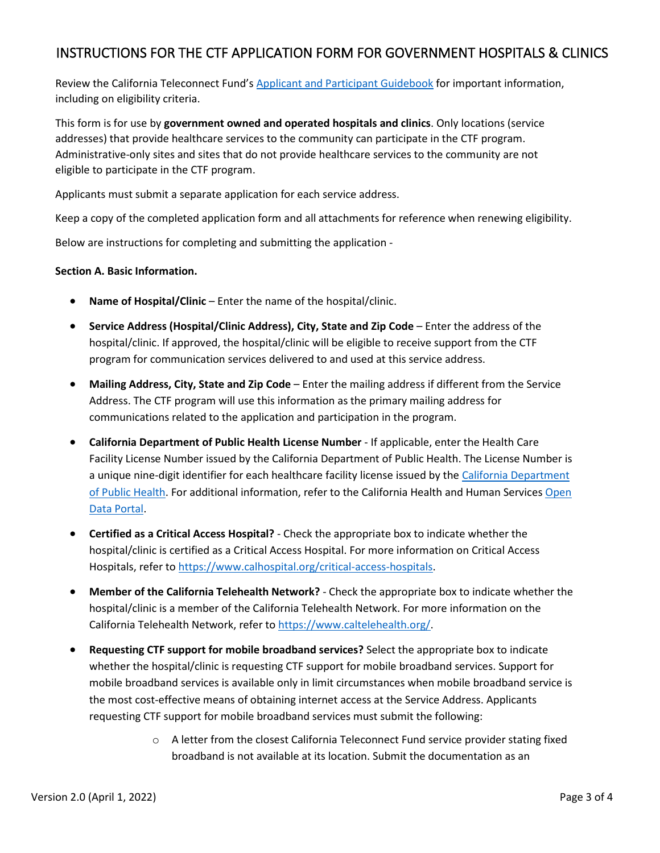# INSTRUCTIONS FOR THE CTF APPLICATION FORM FOR GOVERNMENT HOSPITALS & CLINICS

Review the California Teleconnect Fund's [Applicant and Participant Guidebook](https://www.cpuc.ca.gov/-/media/cpuc-website/divisions/communications-division/documents/california-teleconnect-fund/ctf_applicant_and_participant_guidebook.pdf) for important information, including on eligibility criteria.

This form is for use by **government owned and operated hospitals and clinics**. Only locations (service addresses) that provide healthcare services to the community can participate in the CTF program. Administrative-only sites and sites that do not provide healthcare services to the community are not eligible to participate in the CTF program.

Applicants must submit a separate application for each service address.

Keep a copy of the completed application form and all attachments for reference when renewing eligibility.

Below are instructions for completing and submitting the application -

#### **Section A. Basic Information.**

- **Name of Hospital/Clinic** Enter the name of the hospital/clinic.
- **Service Address (Hospital/Clinic Address), City, State and Zip Code** Enter the address of the hospital/clinic. If approved, the hospital/clinic will be eligible to receive support from the CTF program for communication services delivered to and used at this service address.
- **Mailing Address, City, State and Zip Code** Enter the mailing address if different from the Service Address. The CTF program will use this information as the primary mailing address for communications related to the application and participation in the program.
- **California Department of Public Health License Number**  If applicable, enter the Health Care Facility License Number issued by the California Department of Public Health. The License Number is a unique nine-digit identifier for each healthcare facility license issued by the [California Department](https://www.cdph.ca.gov/Programs/CHCQ/LCP/Pages/HealthCareFacilities.aspx)  [of Public Health.](https://www.cdph.ca.gov/Programs/CHCQ/LCP/Pages/HealthCareFacilities.aspx) For additional information, refer to the California Health and Human Services [Open](https://data.chhs.ca.gov/dataset/healthcare-facility-locations)  [Data Portal.](https://data.chhs.ca.gov/dataset/healthcare-facility-locations)
- **Certified as a Critical Access Hospital?** Check the appropriate box to indicate whether the hospital/clinic is certified as a Critical Access Hospital. For more information on Critical Access Hospitals, refer t[o https://www.calhospital.org/critical-access-hospitals.](https://www.calhospital.org/critical-access-hospitals)
- **Member of the California Telehealth Network?** Check the appropriate box to indicate whether the hospital/clinic is a member of the California Telehealth Network. For more information on the California Telehealth Network, refer to [https://www.caltelehealth.org/.](https://www.caltelehealth.org/)
- **Requesting CTF support for mobile broadband services?** Select the appropriate box to indicate whether the hospital/clinic is requesting CTF support for mobile broadband services. Support for mobile broadband services is available only in limit circumstances when mobile broadband service is the most cost-effective means of obtaining internet access at the Service Address. Applicants requesting CTF support for mobile broadband services must submit the following:
	- $\circ$  A letter from the closest California Teleconnect Fund service provider stating fixed broadband is not available at its location. Submit the documentation as an